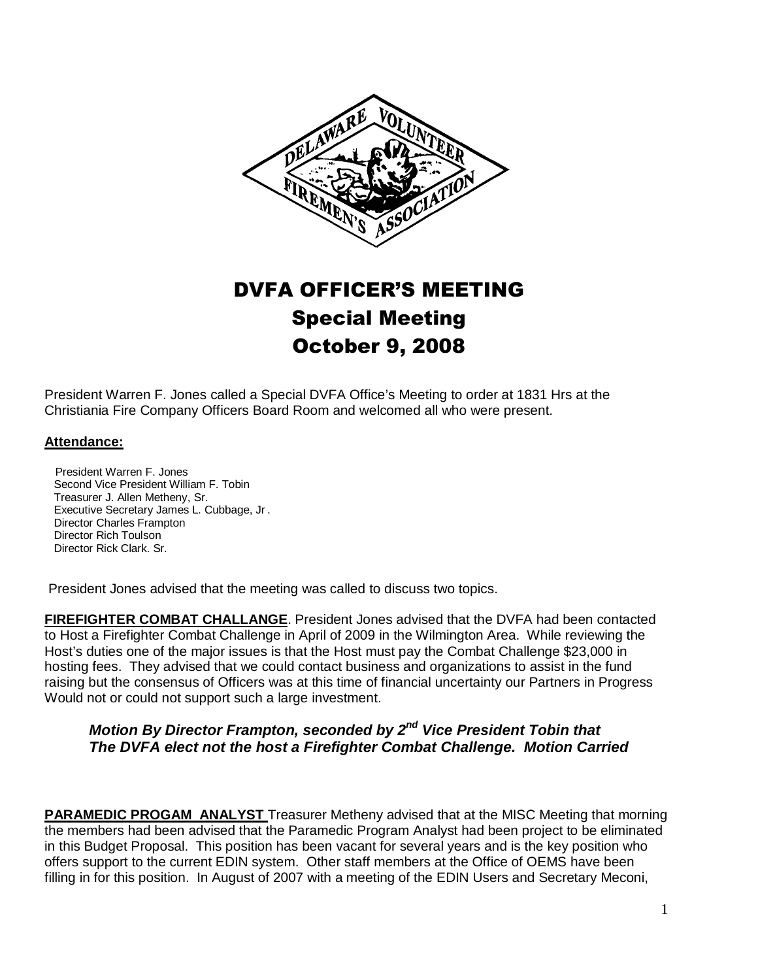

## DVFA OFFICER'S MEETING Special Meeting October 9, 2008

President Warren F. Jones called a Special DVFA Office's Meeting to order at 1831 Hrs at the Christiania Fire Company Officers Board Room and welcomed all who were present.

## **Attendance:**

 President Warren F. Jones Second Vice President William F. Tobin Treasurer J. Allen Metheny, Sr. Executive Secretary James L. Cubbage, Jr . Director Charles Frampton Director Rich Toulson Director Rick Clark. Sr.

President Jones advised that the meeting was called to discuss two topics.

**FIREFIGHTER COMBAT CHALLANGE**. President Jones advised that the DVFA had been contacted to Host a Firefighter Combat Challenge in April of 2009 in the Wilmington Area. While reviewing the Host's duties one of the major issues is that the Host must pay the Combat Challenge \$23,000 in hosting fees. They advised that we could contact business and organizations to assist in the fund raising but the consensus of Officers was at this time of financial uncertainty our Partners in Progress Would not or could not support such a large investment.

## **Motion By Director Frampton, seconded by 2nd Vice President Tobin that The DVFA elect not the host a Firefighter Combat Challenge. Motion Carried**

**PARAMEDIC PROGAM ANALYST** Treasurer Metheny advised that at the MISC Meeting that morning the members had been advised that the Paramedic Program Analyst had been project to be eliminated in this Budget Proposal. This position has been vacant for several years and is the key position who offers support to the current EDIN system. Other staff members at the Office of OEMS have been filling in for this position. In August of 2007 with a meeting of the EDIN Users and Secretary Meconi,